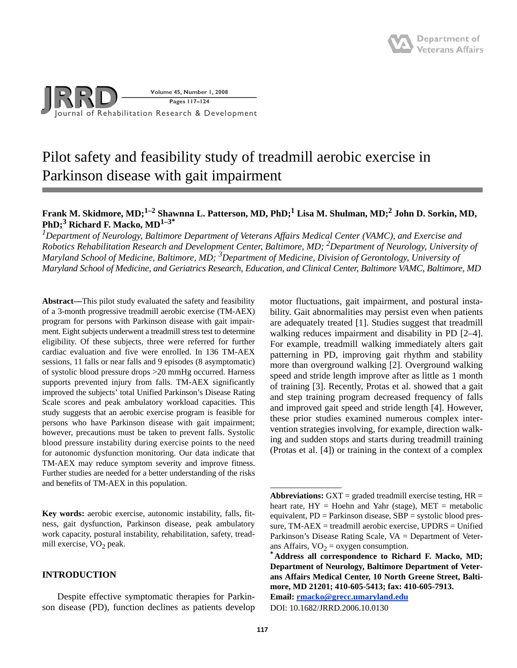

# Pilot safety and feasibility study of treadmill aerobic exercise in Parkinson disease with gait impairment

# **Frank M. Skidmore, MD;1–2 Shawnna L. Patterson, MD, PhD;1 Lisa M. Shulman, MD;2 John D. Sorkin, MD, PhD;3 Richard F. Macko, MD1–3\***

<sup>1</sup> Department of Neurology, Baltimore Department of Veterans Affairs Medical Center (VAMC), and Exercise and *Robotics Rehabilitation Research and Development Center, Baltimore, MD; 2 Department of Neurology, University of Maryland School of Medicine, Baltimore, MD; 3Department of Medicine, Division of Gerontology, University of Maryland School of Medicine, and Geriatrics Research, Education, and Clinical Center, Baltimore VAMC, Baltimore, MD*

**Abstract—**This pilot study evaluated the safety and feasibility of a 3-month progressive treadmill aerobic exercise (TM-AEX) program for persons with Parkinson disease with gait impairment. Eight subjects underwent a treadmill stress test to determine eligibility. Of these subjects, three were referred for further cardiac evaluation and five were enrolled. In 136 TM-AEX sessions, 11 falls or near falls and 9 episodes (8 asymptomatic) of systolic blood pressure drops >20 mmHg occurred. Harness supports prevented injury from falls. TM-AEX significantly improved the subjects' total Unified Parkinson's Disease Rating Scale scores and peak ambulatory workload capacities. This study suggests that an aerobic exercise program is feasible for persons who have Parkinson disease with gait impairment; however, precautions must be taken to prevent falls. Systolic blood pressure instability during exercise points to the need for autonomic dysfunction monitoring. Our data indicate that TM-AEX may reduce symptom severity and improve fitness. Further studies are needed for a better understanding of the risks and benefits of TM-AEX in this population.

**Key words:** aerobic exercise, autonomic instability, falls, fitness, gait dysfunction, Parkinson disease, peak ambulatory work capacity, postural instability, rehabilitation, safety, treadmill exercise,  $VO<sub>2</sub>$  peak.

# **INTRODUCTION**

Despite effective symptomatic therapies for Parkinson disease (PD), function declines as patients develop

motor fluctuations, gait impairment, and postural instability. Gait abnormalities may persist even when patients are adequately treated [1]. Studies suggest that treadmill walking reduces impairment and disability in PD [2–4]. For example, treadmill walking immediately alters gait patterning in PD, improving gait rhythm and stability more than overground walking [2]. Overground walking speed and stride length improve after as little as 1 month of training [3]. Recently, Protas et al. showed that a gait and step training program decreased frequency of falls and improved gait speed and stride length [4]. However, these prior studies examined numerous complex intervention strategies involving, for example, direction walking and sudden stops and starts during treadmill training (Protas et al. [4]) or training in the context of a complex

**Abbreviations:**  $GXT =$  graded treadmill exercise testing,  $HR =$ heart rate,  $HY = Hoehn$  and Yahr (stage),  $MET = metabolic$ equivalent, PD = Parkinson disease, SBP = systolic blood pressure, TM-AEX = treadmill aerobic exercise, UPDRS = Unified Parkinson's Disease Rating Scale, VA = Department of Veterans Affairs,  $VO_2 = oxygen$  consumption.<br>**\*Address all correspondence to Richard F. Macko, MD;** 

**Department of Neurology, Baltimore Department of Veterans Affairs Medical Center, 10 North Greene Street, Baltimore, MD 21201; 410-605-5413; fax: 410-605-7913.** 

**Email: [rmacko@grecc.umaryland.edu](mailto:rmacko@grecc.umaryland.edu)**

DOI: 10.1682/JRRD.2006.10.0130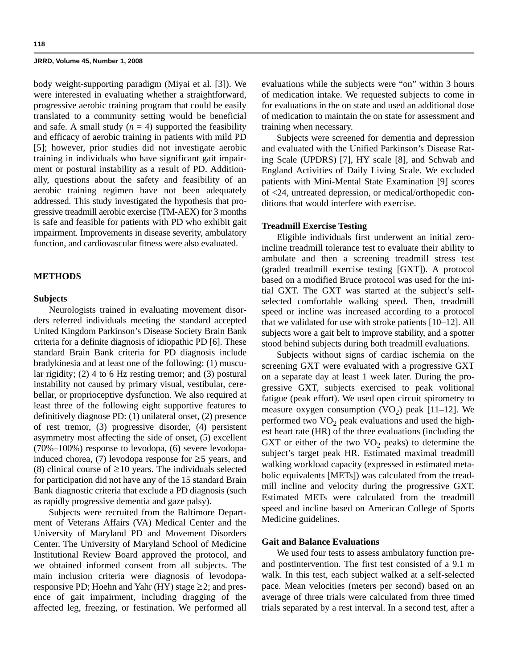body weight-supporting paradigm (Miyai et al. [3]). We were interested in evaluating whether a straightforward, progressive aerobic training program that could be easily translated to a community setting would be beneficial and safe. A small study  $(n = 4)$  supported the feasibility and efficacy of aerobic training in patients with mild PD [5]; however, prior studies did not investigate aerobic training in individuals who have significant gait impairment or postural instability as a result of PD. Additionally, questions about the safety and feasibility of an aerobic training regimen have not been adequately addressed. This study investigated the hypothesis that progressive treadmill aerobic exercise (TM-AEX) for 3 months is safe and feasible for patients with PD who exhibit gait impairment. Improvements in disease severity, ambulatory function, and cardiovascular fitness were also evaluated.

## **METHODS**

## **Subjects**

Neurologists trained in evaluating movement disorders referred individuals meeting the standard accepted United Kingdom Parkinson's Disease Society Brain Bank criteria for a definite diagnosis of idiopathic PD [6]. These standard Brain Bank criteria for PD diagnosis include bradykinesia and at least one of the following: (1) muscular rigidity; (2) 4 to 6 Hz resting tremor; and (3) postural instability not caused by primary visual, vestibular, cerebellar, or proprioceptive dysfunction. We also required at least three of the following eight supportive features to definitively diagnose PD: (1) unilateral onset, (2) presence of rest tremor, (3) progressive disorder, (4) persistent asymmetry most affecting the side of onset, (5) excellent (70%–100%) response to levodopa, (6) severe levodopainduced chorea, (7) levodopa response for  $\geq$ 5 years, and (8) clinical course of  $\geq 10$  years. The individuals selected for participation did not have any of the 15 standard Brain Bank diagnostic criteria that exclude a PD diagnosis (such as rapidly progressive dementia and gaze palsy).

Subjects were recruited from the Baltimore Department of Veterans Affairs (VA) Medical Center and the University of Maryland PD and Movement Disorders Center. The University of Maryland School of Medicine Institutional Review Board approved the protocol, and we obtained informed consent from all subjects. The main inclusion criteria were diagnosis of levodoparesponsive PD; Hoehn and Yahr (HY) stage  $\geq$ 2; and presence of gait impairment, including dragging of the affected leg, freezing, or festination. We performed all

evaluations while the subjects were "on" within 3 hours of medication intake. We requested subjects to come in for evaluations in the on state and used an additional dose of medication to maintain the on state for assessment and training when necessary.

Subjects were screened for dementia and depression and evaluated with the Unified Parkinson's Disease Rating Scale (UPDRS) [7], HY scale [8], and Schwab and England Activities of Daily Living Scale. We excluded patients with Mini-Mental State Examination [9] scores of <24, untreated depression, or medical/orthopedic conditions that would interfere with exercise.

## **Treadmill Exercise Testing**

Eligible individuals first underwent an initial zeroincline treadmill tolerance test to evaluate their ability to ambulate and then a screening treadmill stress test (graded treadmill exercise testing [GXT]). A protocol based on a modified Bruce protocol was used for the initial GXT. The GXT was started at the subject's selfselected comfortable walking speed. Then, treadmill speed or incline was increased according to a protocol that we validated for use with stroke patients [10–12]. All subjects wore a gait belt to improve stability, and a spotter stood behind subjects during both treadmill evaluations.

Subjects without signs of cardiac ischemia on the screening GXT were evaluated with a progressive GXT on a separate day at least 1 week later. During the progressive GXT, subjects exercised to peak volitional fatigue (peak effort). We used open circuit spirometry to measure oxygen consumption  $(VO<sub>2</sub>)$  peak [11–12]. We performed two  $VO<sub>2</sub>$  peak evaluations and used the highest heart rate (HR) of the three evaluations (including the GXT or either of the two  $VO<sub>2</sub>$  peaks) to determine the subject's target peak HR. Estimated maximal treadmill walking workload capacity (expressed in estimated metabolic equivalents [METs]) was calculated from the treadmill incline and velocity during the progressive GXT. Estimated METs were calculated from the treadmill speed and incline based on American College of Sports Medicine guidelines.

## **Gait and Balance Evaluations**

We used four tests to assess ambulatory function preand postintervention. The first test consisted of a 9.1 m walk. In this test, each subject walked at a self-selected pace. Mean velocities (meters per second) based on an average of three trials were calculated from three timed trials separated by a rest interval. In a second test, after a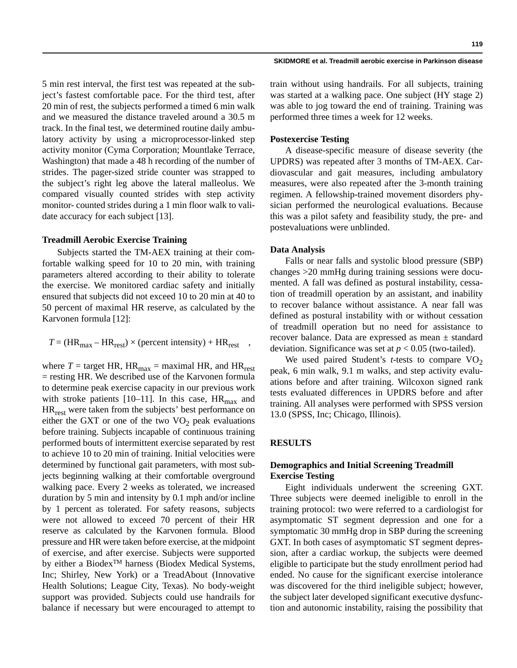5 min rest interval, the first test was repeated at the subject's fastest comfortable pace. For the third test, after 20 min of rest, the subjects performed a timed 6 min walk and we measured the distance traveled around a 30.5 m track. In the final test, we determined routine daily ambulatory activity by using a microprocessor-linked step activity monitor (Cyma Corporation; Mountlake Terrace, Washington) that made a 48 h recording of the number of strides. The pager-sized stride counter was strapped to the subject's right leg above the lateral malleolus. We compared visually counted strides with step activity monitor- counted strides during a 1 min floor walk to validate accuracy for each subject [13].

## **Treadmill Aerobic Exercise Training**

Subjects started the TM-AEX training at their comfortable walking speed for 10 to 20 min, with training parameters altered according to their ability to tolerate the exercise. We monitored cardiac safety and initially ensured that subjects did not exceed 10 to 20 min at 40 to 50 percent of maximal HR reserve, as calculated by the Karvonen formula [12]:

$$
T = (HR_{\text{max}} - HR_{\text{rest}}) \times (percent intensity) + HR_{\text{rest}} \quad ,
$$

where  $T =$  target HR, HR<sub>max</sub> = maximal HR, and HR<sub>rest</sub>  $=$  resting HR. We described use of the Karvonen formula to determine peak exercise capacity in our previous work with stroke patients [10–11]. In this case,  $HR_{max}$  and HRrest were taken from the subjects' best performance on either the GXT or one of the two  $VO<sub>2</sub>$  peak evaluations before training. Subjects incapable of continuous training performed bouts of intermittent exercise separated by rest to achieve 10 to 20 min of training. Initial velocities were determined by functional gait parameters, with most subjects beginning walking at their comfortable overground walking pace. Every 2 weeks as tolerated, we increased duration by 5 min and intensity by 0.1 mph and/or incline by 1 percent as tolerated. For safety reasons, subjects were not allowed to exceed 70 percent of their HR reserve as calculated by the Karvonen formula. Blood pressure and HR were taken before exercise, at the midpoint of exercise, and after exercise. Subjects were supported by either a Biodex<sup>™</sup> harness (Biodex Medical Systems, Inc; Shirley, New York) or a TreadAbout (Innovative Health Solutions; League City, Texas). No body-weight support was provided. Subjects could use handrails for balance if necessary but were encouraged to attempt to

#### **SKIDMORE et al. Treadmill aerobic exercise in Parkinson disease**

train without using handrails. For all subjects, training was started at a walking pace. One subject (HY stage 2) was able to jog toward the end of training. Training was performed three times a week for 12 weeks.

# **Postexercise Testing**

A disease-specific measure of disease severity (the UPDRS) was repeated after 3 months of TM-AEX. Cardiovascular and gait measures, including ambulatory measures, were also repeated after the 3-month training regimen. A fellowship-trained movement disorders physician performed the neurological evaluations. Because this was a pilot safety and feasibility study, the pre- and postevaluations were unblinded.

## **Data Analysis**

Falls or near falls and systolic blood pressure (SBP) changes >20 mmHg during training sessions were documented. A fall was defined as postural instability, cessation of treadmill operation by an assistant, and inability to recover balance without assistance. A near fall was defined as postural instability with or without cessation of treadmill operation but no need for assistance to recover balance. Data are expressed as mean ± standard deviation. Significance was set at *p* < 0.05 (two-tailed).

We used paired Student's *t*-tests to compare  $VO<sub>2</sub>$ peak, 6 min walk, 9.1 m walks, and step activity evaluations before and after training. Wilcoxon signed rank tests evaluated differences in UPDRS before and after training. All analyses were performed with SPSS version 13.0 (SPSS, Inc; Chicago, Illinois).

## **RESULTS**

# **Demographics and Initial Screening Treadmill Exercise Testing**

Eight individuals underwent the screening GXT. Three subjects were deemed ineligible to enroll in the training protocol: two were referred to a cardiologist for asymptomatic ST segment depression and one for a symptomatic 30 mmHg drop in SBP during the screening GXT. In both cases of asymptomatic ST segment depression, after a cardiac workup, the subjects were deemed eligible to participate but the study enrollment period had ended. No cause for the significant exercise intolerance was discovered for the third ineligible subject; however, the subject later developed significant executive dysfunction and autonomic instability, raising the possibility that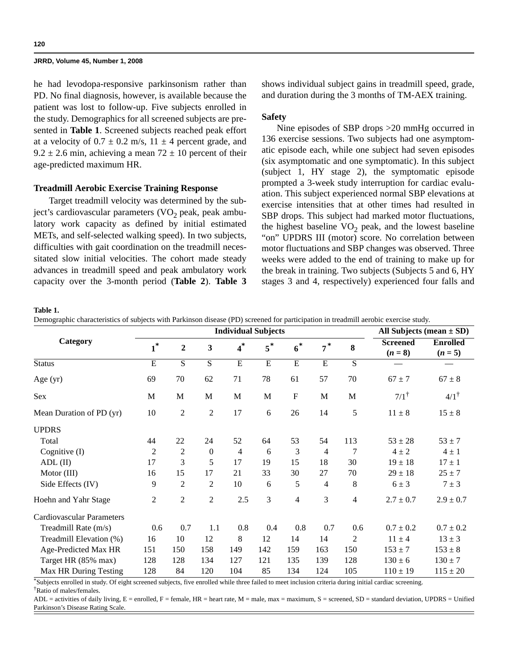he had levodopa-responsive parkinsonism rather than PD. No final diagnosis, however, is available because the patient was lost to follow-up. Five subjects enrolled in the study. Demographics for all screened subjects are presented in **Table 1**. Screened subjects reached peak effort at a velocity of  $0.7 \pm 0.2$  m/s,  $11 \pm 4$  percent grade, and  $9.2 \pm 2.6$  min, achieving a mean  $72 \pm 10$  percent of their age-predicted maximum HR.

# **Treadmill Aerobic Exercise Training Response**

Target treadmill velocity was determined by the subject's cardiovascular parameters  $(VO<sub>2</sub>)$  peak, peak ambulatory work capacity as defined by initial estimated METs, and self-selected walking speed). In two subjects, difficulties with gait coordination on the treadmill necessitated slow initial velocities. The cohort made steady advances in treadmill speed and peak ambulatory work capacity over the 3-month period (**Table 2**). **Table 3**

shows individual subject gains in treadmill speed, grade, and duration during the 3 months of TM-AEX training.

# **Safety**

Nine episodes of SBP drops >20 mmHg occurred in 136 exercise sessions. Two subjects had one asymptomatic episode each, while one subject had seven episodes (six asymptomatic and one symptomatic). In this subject (subject 1, HY stage 2), the symptomatic episode prompted a 3-week study interruption for cardiac evaluation. This subject experienced normal SBP elevations at exercise intensities that at other times had resulted in SBP drops. This subject had marked motor fluctuations, the highest baseline  $VO<sub>2</sub>$  peak, and the lowest baseline "on" UPDRS III (motor) score. No correlation between motor fluctuations and SBP changes was observed. Three weeks were added to the end of training to make up for the break in training. Two subjects (Subjects 5 and 6, HY stages 3 and 4, respectively) experienced four falls and

**Table 1.**

Demographic characteristics of subjects with Parkinson disease (PD) screened for participation in treadmill aerobic exercise study.

|                           |                |                  | All Subjects (mean $\pm$ SD) |       |                |                |                |                |                              |                              |
|---------------------------|----------------|------------------|------------------------------|-------|----------------|----------------|----------------|----------------|------------------------------|------------------------------|
| Category                  | $1^*$          | $\boldsymbol{2}$ | 3                            | $4^*$ | $5^*$          | $6^*$          | $7^*$          | 8              | <b>Screened</b><br>$(n = 8)$ | <b>Enrolled</b><br>$(n = 5)$ |
| <b>Status</b>             | E              | S                | $\overline{S}$               | E     | $\overline{E}$ | $\overline{E}$ | $\overline{E}$ | $\overline{S}$ |                              |                              |
| Age (yr)                  | 69             | 70               | 62                           | 71    | 78             | 61             | 57             | 70             | $67 \pm 7$                   | $67 \pm 8$                   |
| Sex                       | M              | M                | M                            | M     | M              | ${\bf F}$      | M              | $\mathbf M$    | $7/1$ <sup>†</sup>           | $4/1$ <sup>†</sup>           |
| Mean Duration of PD (yr)  | 10             | $\overline{c}$   | $\mathfrak{2}$               | 17    | 6              | 26             | 14             | 5              | $11 \pm 8$                   | $15 \pm 8$                   |
| <b>UPDRS</b>              |                |                  |                              |       |                |                |                |                |                              |                              |
| Total                     | 44             | 22               | 24                           | 52    | 64             | 53             | 54             | 113            | $53 \pm 28$                  | $53 \pm 7$                   |
| Cognitive (I)             | $\overline{c}$ | 2                | $\boldsymbol{0}$             | 4     | 6              | 3              | $\overline{4}$ | 7              | $4 \pm 2$                    | $4 \pm 1$                    |
| $ADL$ (II)                | 17             | 3                | 5                            | 17    | 19             | 15             | 18             | 30             | $19 \pm 18$                  | $17 \pm 1$                   |
| Motor $(III)$             | 16             | 15               | 17                           | 21    | 33             | 30             | 27             | 70             | $29 \pm 18$                  | $25 \pm 7$                   |
| Side Effects (IV)         | 9              | $\overline{2}$   | $\overline{2}$               | 10    | 6              | 5              | $\overline{4}$ | 8              | $6 \pm 3$                    | $7 \pm 3$                    |
| Hoehn and Yahr Stage      | $\mathfrak{2}$ | $\overline{2}$   | $\overline{2}$               | 2.5   | 3              | 4              | 3              | 4              | $2.7 \pm 0.7$                | $2.9 \pm 0.7$                |
| Cardiovascular Parameters |                |                  |                              |       |                |                |                |                |                              |                              |
| Treadmill Rate (m/s)      | 0.6            | 0.7              | 1.1                          | 0.8   | 0.4            | 0.8            | 0.7            | 0.6            | $0.7 \pm 0.2$                | $0.7 \pm 0.2$                |
| Treadmill Elevation (%)   | 16             | 10               | 12                           | 8     | 12             | 14             | 14             | 2              | $11 \pm 4$                   | $13 \pm 3$                   |
| Age-Predicted Max HR      | 151            | 150              | 158                          | 149   | 142            | 159            | 163            | 150            | $153 \pm 7$                  | $153 \pm 8$                  |
| Target HR (85% max)       | 128            | 128              | 134                          | 127   | 121            | 135            | 139            | 128            | $130 \pm 6$                  | $130 \pm 7$                  |
| Max HR During Testing     | 128            | 84               | 120                          | 104   | 85             | 134            | 124            | 105            | $110 \pm 19$                 | $115 \pm 20$                 |

\*Subjects enrolled in study. Of eight screened subjects, five enrolled while three failed to meet inclusion criteria during initial cardiac screening.

 $ADL$  = activities of daily living,  $E$  = enrolled,  $F$  = female,  $HR$  = heart rate,  $M$  = male, max = maximum,  $S$  = screened,  $SD$  = standard deviation, UPDRS = Unified Parkinson's Disease Rating Scale.

<sup>†</sup>Ratio of males/females.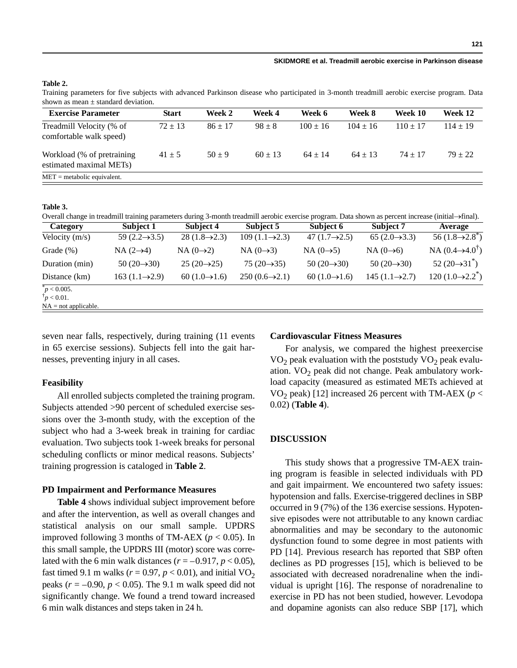#### **SKIDMORE et al. Treadmill aerobic exercise in Parkinson disease**

# **Table 2.**

Training parameters for five subjects with advanced Parkinson disease who participated in 3-month treadmill aerobic exercise program. Data shown as mean  $\pm$  standard deviation.

| <b>Exercise Parameter</b>                                           | <b>Start</b> | Week 2      | Week 4      | Week 6       | Week 8       | Week 10    | Week 12      |
|---------------------------------------------------------------------|--------------|-------------|-------------|--------------|--------------|------------|--------------|
| Treadmill Velocity (% of<br>comfortable walk speed)                 | $72 \pm 13$  | $86 \pm 17$ | $98 \pm 8$  | $100 \pm 16$ | $104 \pm 16$ | $110 + 17$ | $114 \pm 19$ |
| Workload (% of pretraining)<br>estimated maximal MET <sub>s</sub> ) | $41 \pm 5$   | $50 + 9$    | $60 \pm 13$ | $64 \pm 14$  | $64 + 13$    | $74 + 17$  | $79 + 22$    |
| $MET = metabolic equivalent.$                                       |              |             |             |              |              |            |              |

#### **Table 3.**

Overall change in treadmill training parameters during 3-month treadmill aerobic exercise program. Data shown as percent increase (initial→final).

| Category                              | Subject 1                   | Subject 4                  | Subject 5                  | Subject 6                  | Subject 7                  | Average                              |
|---------------------------------------|-----------------------------|----------------------------|----------------------------|----------------------------|----------------------------|--------------------------------------|
| Velocity $(m/s)$                      | 59 $(2.2 \rightarrow 3.5)$  | $28(1.8 \rightarrow 2.3)$  | $109(1.1 \rightarrow 2.3)$ | 47 $(1.7 \rightarrow 2.5)$ | $65(2.0 \rightarrow 3.3)$  | 56 $(1.8 \rightarrow 2.8^*)$         |
| Grade $(\%)$                          | $NA(2\rightarrow 4)$        | NA $(0\rightarrow 2)$      | NA $(0\rightarrow 3)$      | NA $(0\rightarrow 5)$      | NA $(0\rightarrow 6)$      | NA $(0.4 \rightarrow 4.0^{\dagger})$ |
| Duration (min)                        | 50 $(20 \rightarrow 30)$    | $25(20 \rightarrow 25)$    | 75 $(20 \rightarrow 35)$   | 50 $(20 \rightarrow 30)$   | 50 $(20 \rightarrow 30)$   | $52(20 \rightarrow 31^*)$            |
| Distance (km)                         | $163 (1.1 \rightarrow 2.9)$ | 60 $(1.0 \rightarrow 1.6)$ | $250(0.6 \rightarrow 2.1)$ | 60 $(1.0 \rightarrow 1.6)$ | $145(1.1 \rightarrow 2.7)$ | 120 $(1.0 \rightarrow 2.2^*)$        |
| $p < 0.005$ .<br>$\dagger p < 0.01$ . |                             |                            |                            |                            |                            |                                      |
| $NA = not applicable.$                |                             |                            |                            |                            |                            |                                      |

seven near falls, respectively, during training (11 events in 65 exercise sessions). Subjects fell into the gait harnesses, preventing injury in all cases.

## **Feasibility**

All enrolled subjects completed the training program. Subjects attended >90 percent of scheduled exercise sessions over the 3-month study, with the exception of the subject who had a 3-week break in training for cardiac evaluation. Two subjects took 1-week breaks for personal scheduling conflicts or minor medical reasons. Subjects' training progression is cataloged in **Table 2**.

## **PD Impairment and Performance Measures**

**Table 4** shows individual subject improvement before and after the intervention, as well as overall changes and statistical analysis on our small sample. UPDRS improved following 3 months of TM-AEX ( $p < 0.05$ ). In this small sample, the UPDRS III (motor) score was correlated with the 6 min walk distances  $(r = -0.917, p < 0.05)$ , fast timed 9.1 m walks ( $r = 0.97$ ,  $p < 0.01$ ), and initial VO<sub>2</sub> peaks ( $r = -0.90$ ,  $p < 0.05$ ). The 9.1 m walk speed did not significantly change. We found a trend toward increased 6 min walk distances and steps taken in 24 h.

## **Cardiovascular Fitness Measures**

For analysis, we compared the highest preexercise  $VO<sub>2</sub>$  peak evaluation with the poststudy  $VO<sub>2</sub>$  peak evaluation.  $VO<sub>2</sub>$  peak did not change. Peak ambulatory workload capacity (measured as estimated METs achieved at VO<sub>2</sub> peak) [12] increased 26 percent with TM-AEX ( $p <$ 0.02) (**Table 4**).

## **DISCUSSION**

This study shows that a progressive TM-AEX training program is feasible in selected individuals with PD and gait impairment. We encountered two safety issues: hypotension and falls. Exercise-triggered declines in SBP occurred in 9 (7%) of the 136 exercise sessions. Hypotensive episodes were not attributable to any known cardiac abnormalities and may be secondary to the autonomic dysfunction found to some degree in most patients with PD [14]. Previous research has reported that SBP often declines as PD progresses [15], which is believed to be associated with decreased noradrenaline when the individual is upright [16]. The response of noradrenaline to exercise in PD has not been studied, however. Levodopa and dopamine agonists can also reduce SBP [17], which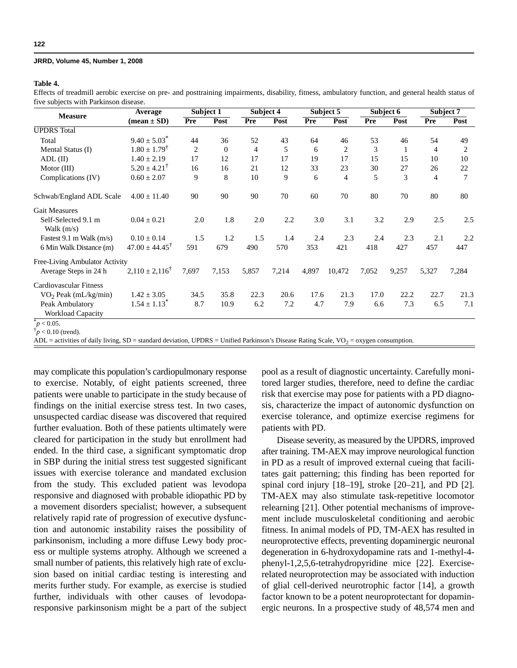## **Table 4.**

Effects of treadmill aerobic exercise on pre- and posttraining impairments, disability, fitness, ambulatory function, and general health status of five subjects with Parkinson disease.

| <b>Measure</b>                       | Average                       | Subject 1 |              | Subject 4      |       | Subject 5 |                | Subject 6 |       | Subject 7      |                |
|--------------------------------------|-------------------------------|-----------|--------------|----------------|-------|-----------|----------------|-----------|-------|----------------|----------------|
|                                      | $(\text{mean} \pm \text{SD})$ | Pre       | Post         | Pre            | Post  | Pre       | Post           | Pre       | Post  | Pre            | Post           |
| <b>UPDRS</b> Total                   |                               |           |              |                |       |           |                |           |       |                |                |
| Total                                | $9.40 \pm 5.03$ <sup>*</sup>  | 44        | 36           | 52             | 43    | 64        | 46             | 53        | 46    | 54             | 49             |
| Mental Status (I)                    | $1.80 \pm 1.79^{\dagger}$     | 2         | $\mathbf{0}$ | $\overline{4}$ | 5     | 6         | 2              | 3         | 1     | $\overline{4}$ | 2              |
| $ADL$ (II)                           | $1.40 \pm 2.19$               | 17        | 12           | 17             | 17    | 19        | 17             | 15        | 15    | 10             | 10             |
| Motor $(III)$                        | $5.20 \pm 4.21^{\dagger}$     | 16        | 16           | 21             | 12    | 33        | 23             | 30        | 27    | 26             | 22             |
| Complications (IV)                   | $0.60 \pm 2.07$               | 9         | 8            | 10             | 9     | 6         | $\overline{4}$ | 5         | 3     | $\overline{4}$ | $\overline{7}$ |
| Schwab/England ADL Scale             | $4.00 \pm 11.40$              | 90        | 90           | 90             | 70    | 60        | 70             | 80        | 70    | 80             | 80             |
| <b>Gait Measures</b>                 |                               |           |              |                |       |           |                |           |       |                |                |
| Self-Selected 9.1 m<br>Walk $(m/s)$  | $0.04 \pm 0.21$               | 2.0       | 1.8          | 2.0            | 2.2   | 3.0       | 3.1            | 3.2       | 2.9   | 2.5            | 2.5            |
| Fastest $9.1 \text{ m}$ Walk (m/s)   | $0.10 \pm 0.14$               | 1.5       | 1.2          | 1.5            | 1.4   | 2.4       | 2.3            | 2.4       | 2.3   | 2.1            | 2.2            |
| 6 Min Walk Distance (m)              | $47.00 \pm 44.45^{\dagger}$   | 591       | 679          | 490            | 570   | 353       | 421            | 418       | 427   | 457            | 447            |
| Free-Living Ambulator Activity       |                               |           |              |                |       |           |                |           |       |                |                |
| Average Steps in 24 h                | $2,110 \pm 2,116^{\dagger}$   | 7,697     | 7,153        | 5,857          | 7,214 | 4,897     | 10,472         | 7,052     | 9,257 | 5,327          | 7,284          |
| Cardiovascular Fitness               |                               |           |              |                |       |           |                |           |       |                |                |
| $VO2$ Peak (mL/kg/min)               | $1.42 \pm 3.05$               | 34.5      | 35.8         | 22.3           | 20.6  | 17.6      | 21.3           | 17.0      | 22.2  | 22.7           | 21.3           |
| Peak Ambulatory<br>Workload Capacity | $1.54 \pm 1.13$ <sup>*</sup>  | 8.7       | 10.9         | 6.2            | 7.2   | 4.7       | 7.9            | 6.6       | 7.3   | 6.5            | 7.1            |
| $p < 0.05$ .                         |                               |           |              |                |       |           |                |           |       |                |                |

 $\phi^{\dagger}$ *p* < 0.10 (trend).

ADL = activities of daily living, SD = standard deviation, UPDRS = Unified Parkinson's Disease Rating Scale,  $VO<sub>2</sub> = oxygen consumption$ .

may complicate this population's cardiopulmonary response to exercise. Notably, of eight patients screened, three patients were unable to participate in the study because of findings on the initial exercise stress test. In two cases, unsuspected cardiac disease was discovered that required further evaluation. Both of these patients ultimately were cleared for participation in the study but enrollment had ended. In the third case, a significant symptomatic drop in SBP during the initial stress test suggested significant issues with exercise tolerance and mandated exclusion from the study. This excluded patient was levodopa responsive and diagnosed with probable idiopathic PD by a movement disorders specialist; however, a subsequent relatively rapid rate of progression of executive dysfunction and autonomic instability raises the possibility of parkinsonism, including a more diffuse Lewy body process or multiple systems atrophy. Although we screened a small number of patients, this relatively high rate of exclusion based on initial cardiac testing is interesting and merits further study. For example, as exercise is studied further, individuals with other causes of levodoparesponsive parkinsonism might be a part of the subject

pool as a result of diagnostic uncertainty. Carefully monitored larger studies, therefore, need to define the cardiac risk that exercise may pose for patients with a PD diagnosis, characterize the impact of autonomic dysfunction on exercise tolerance, and optimize exercise regimens for patients with PD.

Disease severity, as measured by the UPDRS, improved after training. TM-AEX may improve neurological function in PD as a result of improved external cueing that facilitates gait patterning; this finding has been reported for spinal cord injury [18–19], stroke [20–21], and PD [2]. TM-AEX may also stimulate task-repetitive locomotor relearning [21]. Other potential mechanisms of improvement include musculoskeletal conditioning and aerobic fitness. In animal models of PD, TM-AEX has resulted in neuroprotective effects, preventing dopaminergic neuronal degeneration in 6-hydroxydopamine rats and 1-methyl-4 phenyl-1,2,5,6-tetrahydropyridine mice [22]. Exerciserelated neuroprotection may be associated with induction of glial cell-derived neurotrophic factor [14], a growth factor known to be a potent neuroprotectant for dopaminergic neurons. In a prospective study of 48,574 men and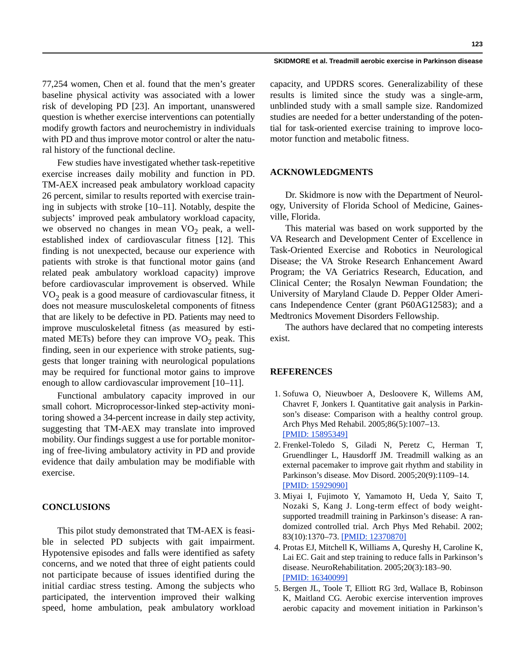## **SKIDMORE et al. Treadmill aerobic exercise in Parkinson disease**

77,254 women, Chen et al. found that the men's greater baseline physical activity was associated with a lower risk of developing PD [23]. An important, unanswered question is whether exercise interventions can potentially modify growth factors and neurochemistry in individuals with PD and thus improve motor control or alter the natural history of the functional decline.

Few studies have investigated whether task-repetitive exercise increases daily mobility and function in PD. TM-AEX increased peak ambulatory workload capacity 26 percent, similar to results reported with exercise training in subjects with stroke [10–11]. Notably, despite the subjects' improved peak ambulatory workload capacity, we observed no changes in mean  $VO<sub>2</sub>$  peak, a wellestablished index of cardiovascular fitness [12]. This finding is not unexpected, because our experience with patients with stroke is that functional motor gains (and related peak ambulatory workload capacity) improve before cardiovascular improvement is observed. While  $VO<sub>2</sub>$  peak is a good measure of cardiovascular fitness, it does not measure musculoskeletal components of fitness that are likely to be defective in PD. Patients may need to improve musculoskeletal fitness (as measured by estimated METs) before they can improve  $VO<sub>2</sub>$  peak. This finding, seen in our experience with stroke patients, suggests that longer training with neurological populations may be required for functional motor gains to improve enough to allow cardiovascular improvement [10–11].

Functional ambulatory capacity improved in our small cohort. Microprocessor-linked step-activity monitoring showed a 34-percent increase in daily step activity, suggesting that TM-AEX may translate into improved mobility. Our findings suggest a use for portable monitoring of free-living ambulatory activity in PD and provide evidence that daily ambulation may be modifiable with exercise.

# **CONCLUSIONS**

This pilot study demonstrated that TM-AEX is feasible in selected PD subjects with gait impairment. Hypotensive episodes and falls were identified as safety concerns, and we noted that three of eight patients could not participate because of issues identified during the initial cardiac stress testing. Among the subjects who participated, the intervention improved their walking speed, home ambulation, peak ambulatory workload

capacity, and UPDRS scores. Generalizability of these results is limited since the study was a single-arm, unblinded study with a small sample size. Randomized studies are needed for a better understanding of the potential for task-oriented exercise training to improve locomotor function and metabolic fitness.

# **ACKNOWLEDGMENTS**

Dr. Skidmore is now with the Department of Neurology, University of Florida School of Medicine, Gainesville, Florida.

This material was based on work supported by the VA Research and Development Center of Excellence in Task-Oriented Exercise and Robotics in Neurological Disease; the VA Stroke Research Enhancement Award Program; the VA Geriatrics Research, Education, and Clinical Center; the Rosalyn Newman Foundation; the University of Maryland Claude D. Pepper Older Americans Independence Center (grant P60AG12583); and a Medtronics Movement Disorders Fellowship.

The authors have declared that no competing interests exist.

#### **REFERENCES**

- 1. Sofuwa O, Nieuwboer A, Desloovere K, Willems AM, Chavret F, Jonkers I. Quantitative gait analysis in Parkinson's disease: Comparison with a healthy control group. Arch Phys Med Rehabil. 2005;86(5):1007–13. [\[PMID: 15895349\]](http://www.ncbi.nlm.nih.gov/sites/entrez?Db=pubmed&Cmd=ShowDetailView&TermToSearch=15895349)
- 2. Frenkel-Toledo S, Giladi N, Peretz C, Herman T, Gruendlinger L, Hausdorff JM. Treadmill walking as an external pacemaker to improve gait rhythm and stability in Parkinson's disease. Mov Disord. 2005;20(9):1109–14. [\[PMID: 15929090\]](http://www.ncbi.nlm.nih.gov/sites/entrez?Db=pubmed&Cmd=ShowDetailView&TermToSearch=15929090)
- 3. Miyai I, Fujimoto Y, Yamamoto H, Ueda Y, Saito T, Nozaki S, Kang J. Long-term effect of body weightsupported treadmill training in Parkinson's disease: A randomized controlled trial. Arch Phys Med Rehabil. 2002; 83(10):1370–73. [\[PMID: 12370870\]](http://www.ncbi.nlm.nih.gov/sites/entrez?Db=pubmed&Cmd=ShowDetailView&TermToSearch=12370870)
- 4. Protas EJ, Mitchell K, Williams A, Qureshy H, Caroline K, Lai EC. Gait and step training to reduce falls in Parkinson's disease. NeuroRehabilitation. 2005;20(3):183–90. [\[PMID: 16340099\]](http://www.ncbi.nlm.nih.gov/sites/entrez?Db=pubmed&Cmd=ShowDetailView&TermToSearch=16340099)
- 5. Bergen JL, Toole T, Elliott RG 3rd, Wallace B, Robinson K, Maitland CG. Aerobic exercise intervention improves aerobic capacity and movement initiation in Parkinson's